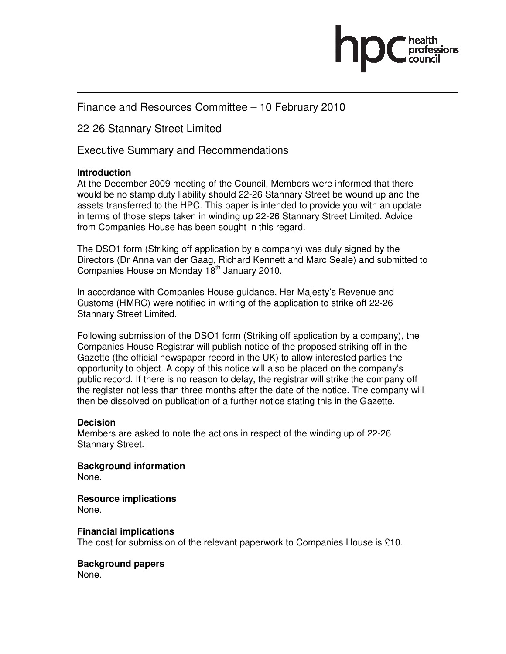

## Finance and Resources Committee – 10 February 2010

22-26 Stannary Street Limited

Executive Summary and Recommendations

## **Introduction**

At the December 2009 meeting of the Council, Members were informed that there would be no stamp duty liability should 22-26 Stannary Street be wound up and the assets transferred to the HPC. This paper is intended to provide you with an update in terms of those steps taken in winding up 22-26 Stannary Street Limited. Advice from Companies House has been sought in this regard.

The DSO1 form (Striking off application by a company) was duly signed by the Directors (Dr Anna van der Gaag, Richard Kennett and Marc Seale) and submitted to Companies House on Monday 18<sup>th</sup> January 2010.

In accordance with Companies House guidance, Her Majesty's Revenue and Customs (HMRC) were notified in writing of the application to strike off 22-26 Stannary Street Limited.

Following submission of the DSO1 form (Striking off application by a company), the Companies House Registrar will publish notice of the proposed striking off in the Gazette (the official newspaper record in the UK) to allow interested parties the opportunity to object. A copy of this notice will also be placed on the company's public record. If there is no reason to delay, the registrar will strike the company off the register not less than three months after the date of the notice. The company will then be dissolved on publication of a further notice stating this in the Gazette.

## **Decision**

Members are asked to note the actions in respect of the winding up of 22-26 Stannary Street.

**Background information**  None.

**Resource implications**  None.

**Financial implications**  The cost for submission of the relevant paperwork to Companies House is £10.

**Background papers** 

None.